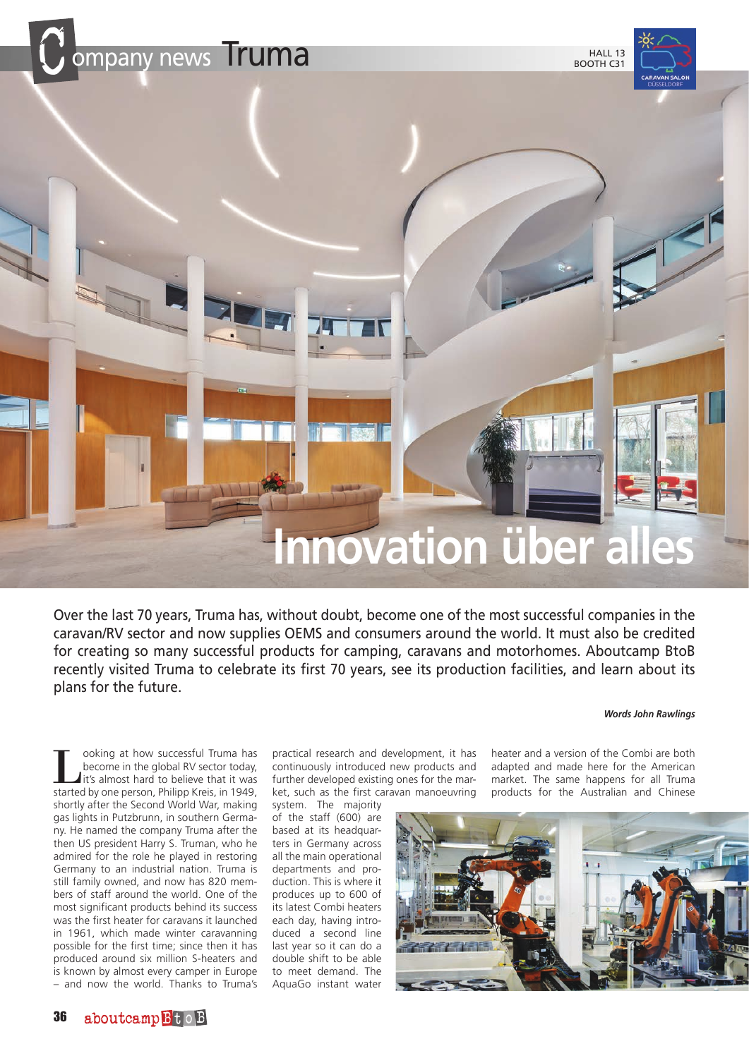

Over the last 70 years, Truma has, without doubt, become one of the most successful companies in the caravan/RV sector and now supplies OEMS and consumers around the world. It must also be credited for creating so many successful products for camping, caravans and motorhomes. Aboutcamp BtoB recently visited Truma to celebrate its first 70 years, see its production facilities, and learn about its plans for the future.

#### *Words John Rawlings*

**Looking at how successful Truma has<br>become in the global RV sector today,<br>it's almost hard to believe that it was<br>started by one person. Philipp Kreis in 1949** become in the global RV sector today, started by one person, Philipp Kreis, in 1949, shortly after the Second World War, making gas lights in Putzbrunn, in southern Germany. He named the company Truma after the then US president Harry S. Truman, who he admired for the role he played in restoring Germany to an industrial nation. Truma is still family owned, and now has 820 members of staff around the world. One of the most significant products behind its success was the first heater for caravans it launched in 1961, which made winter caravanning possible for the first time; since then it has produced around six million S-heaters and is known by almost every camper in Europe – and now the world. Thanks to Truma's

practical research and development, it has continuously introduced new products and further developed existing ones for the market, such as the first caravan manoeuvring

system. The majority of the staff (600) are based at its headquarters in Germany across all the main operational departments and production. This is where it produces up to 600 of its latest Combi heaters each day, having introduced a second line last year so it can do a double shift to be able to meet demand. The AquaGo instant water

heater and a version of the Combi are both adapted and made here for the American market. The same happens for all Truma products for the Australian and Chinese

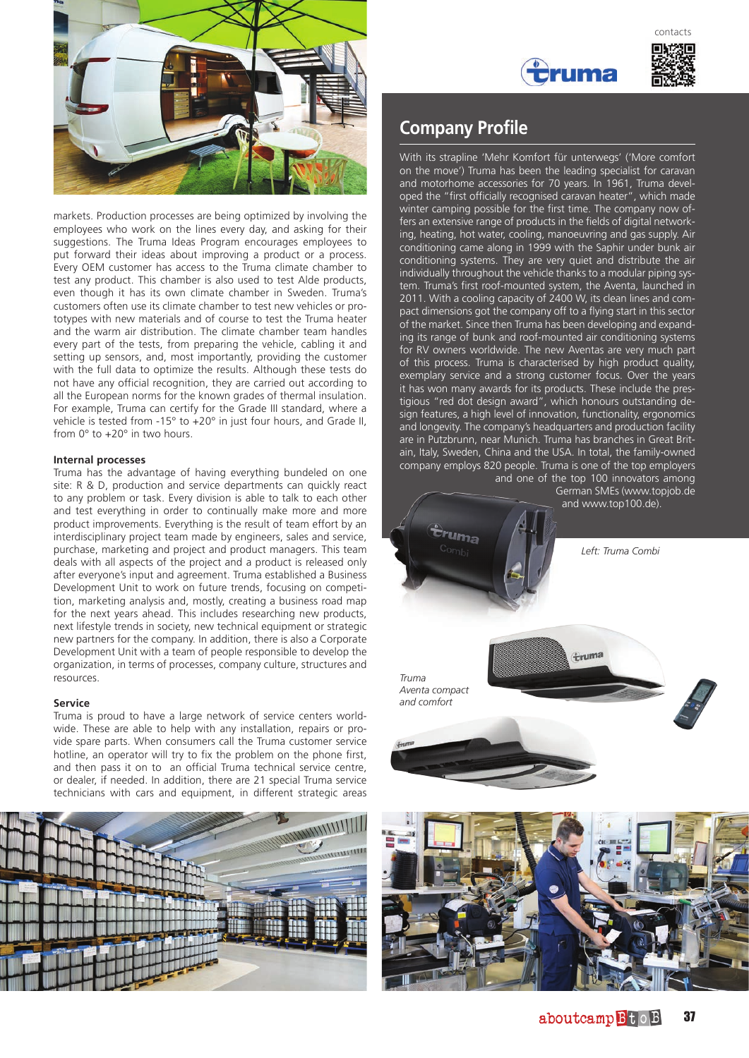

markets. Production processes are being optimized by involving the employees who work on the lines every day, and asking for their suggestions. The Truma Ideas Program encourages employees to put forward their ideas about improving a product or a process. Every OEM customer has access to the Truma climate chamber to test any product. This chamber is also used to test Alde products, even though it has its own climate chamber in Sweden. Truma's customers often use its climate chamber to test new vehicles or prototypes with new materials and of course to test the Truma heater and the warm air distribution. The climate chamber team handles every part of the tests, from preparing the vehicle, cabling it and setting up sensors, and, most importantly, providing the customer with the full data to optimize the results. Although these tests do not have any official recognition, they are carried out according to all the European norms for the known grades of thermal insulation. For example, Truma can certify for the Grade III standard, where a vehicle is tested from -15° to +20° in just four hours, and Grade II, from 0° to +20° in two hours.

## **Internal processes**

Truma has the advantage of having everything bundeled on one site: R & D, production and service departments can quickly react to any problem or task. Every division is able to talk to each other and test everything in order to continually make more and more product improvements. Everything is the result of team effort by an interdisciplinary project team made by engineers, sales and service, purchase, marketing and project and product managers. This team deals with all aspects of the project and a product is released only after everyone's input and agreement. Truma established a Business Development Unit to work on future trends, focusing on competition, marketing analysis and, mostly, creating a business road map for the next years ahead. This includes researching new products, next lifestyle trends in society, new technical equipment or strategic new partners for the company. In addition, there is also a Corporate Development Unit with a team of people responsible to develop the organization, in terms of processes, company culture, structures and resources.

### **Service**

Truma is proud to have a large network of service centers worldwide. These are able to help with any installation, repairs or provide spare parts. When consumers call the Truma customer service hotline, an operator will try to fix the problem on the phone first, and then pass it on to an official Truma technical service centre, or dealer, if needed. In addition, there are 21 special Truma service technicians with cars and equipment, in different strategic areas







# **Company Profile**

With its strapline 'Mehr Komfort für unterwegs' ('More comfort on the move') Truma has been the leading specialist for caravan and motorhome accessories for 70 years. In 1961, Truma developed the "first officially recognised caravan heater", which made winter camping possible for the first time. The company now offers an extensive range of products in the fields of digital networking, heating, hot water, cooling, manoeuvring and gas supply. Air conditioning came along in 1999 with the Saphir under bunk air conditioning systems. They are very quiet and distribute the air individually throughout the vehicle thanks to a modular piping system. Truma's first roof-mounted system, the Aventa, launched in 2011. With a cooling capacity of 2400 W, its clean lines and compact dimensions got the company off to a flying start in this sector of the market. Since then Truma has been developing and expanding its range of bunk and roof-mounted air conditioning systems for RV owners worldwide. The new Aventas are very much part of this process. Truma is characterised by high product quality, exemplary service and a strong customer focus. Over the years it has won many awards for its products. These include the prestigious "red dot design award", which honours outstanding design features, a high level of innovation, functionality, ergonomics and longevity. The company's headquarters and production facility are in Putzbrunn, near Munich. Truma has branches in Great Britain, Italy, Sweden, China and the USA. In total, the family-owned company employs 820 people. Truma is one of the top employers and one of the top 100 innovators among

> German SMEs (www.topjob.de and www.top100.de).

> > *Left: Truma Combi*

*Truma Aventa compact and comfort*

ruma